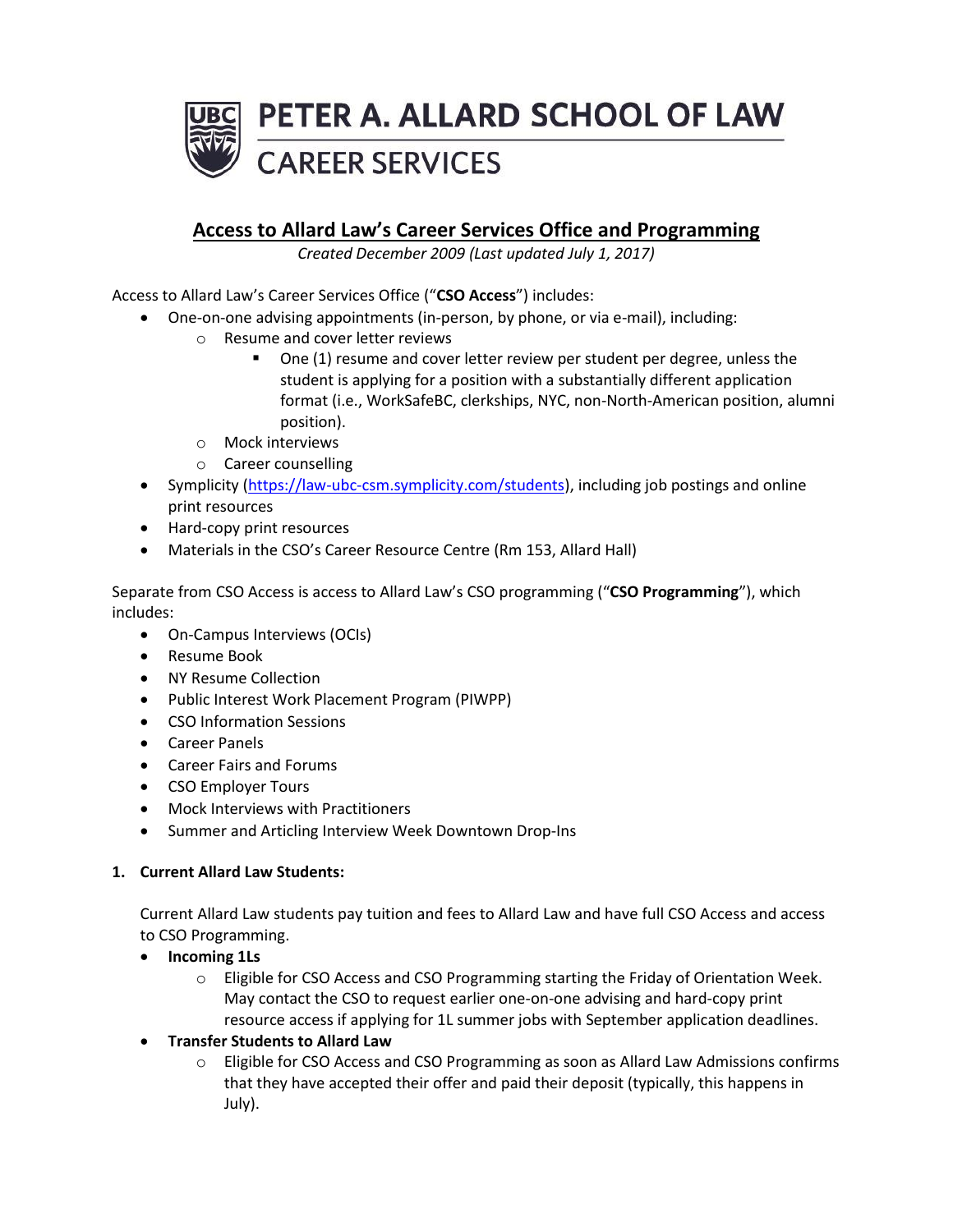

# **Access to Allard Law's Career Services Office and Programming**

*Created December 2009 (Last updated July 1, 2017)*

Access to Allard Law's Career Services Office ("**CSO Access**") includes:

- One-on-one advising appointments (in-person, by phone, or via e-mail), including:
	- o Resume and cover letter reviews
		- One (1) resume and cover letter review per student per degree, unless the student is applying for a position with a substantially different application format (i.e., WorkSafeBC, clerkships, NYC, non-North-American position, alumni position).
	- o Mock interviews
	- o Career counselling
- Symplicity [\(https://law-ubc-csm.symplicity.com/students\)](https://law-ubc-csm.symplicity.com/students), including job postings and online print resources
- Hard-copy print resources
- Materials in the CSO's Career Resource Centre (Rm 153, Allard Hall)

Separate from CSO Access is access to Allard Law's CSO programming ("**CSO Programming**"), which includes:

- On-Campus Interviews (OCIs)
- Resume Book
- NY Resume Collection
- Public Interest Work Placement Program (PIWPP)
- CSO Information Sessions
- Career Panels
- Career Fairs and Forums
- CSO Employer Tours
- Mock Interviews with Practitioners
- Summer and Articling Interview Week Downtown Drop-Ins

## **1. Current Allard Law Students:**

Current Allard Law students pay tuition and fees to Allard Law and have full CSO Access and access to CSO Programming.

- **Incoming 1Ls**
	- $\circ$  Eligible for CSO Access and CSO Programming starting the Friday of Orientation Week. May contact the CSO to request earlier one-on-one advising and hard-copy print resource access if applying for 1L summer jobs with September application deadlines.
- **Transfer Students to Allard Law**
	- $\circ$  Eligible for CSO Access and CSO Programming as soon as Allard Law Admissions confirms that they have accepted their offer and paid their deposit (typically, this happens in July).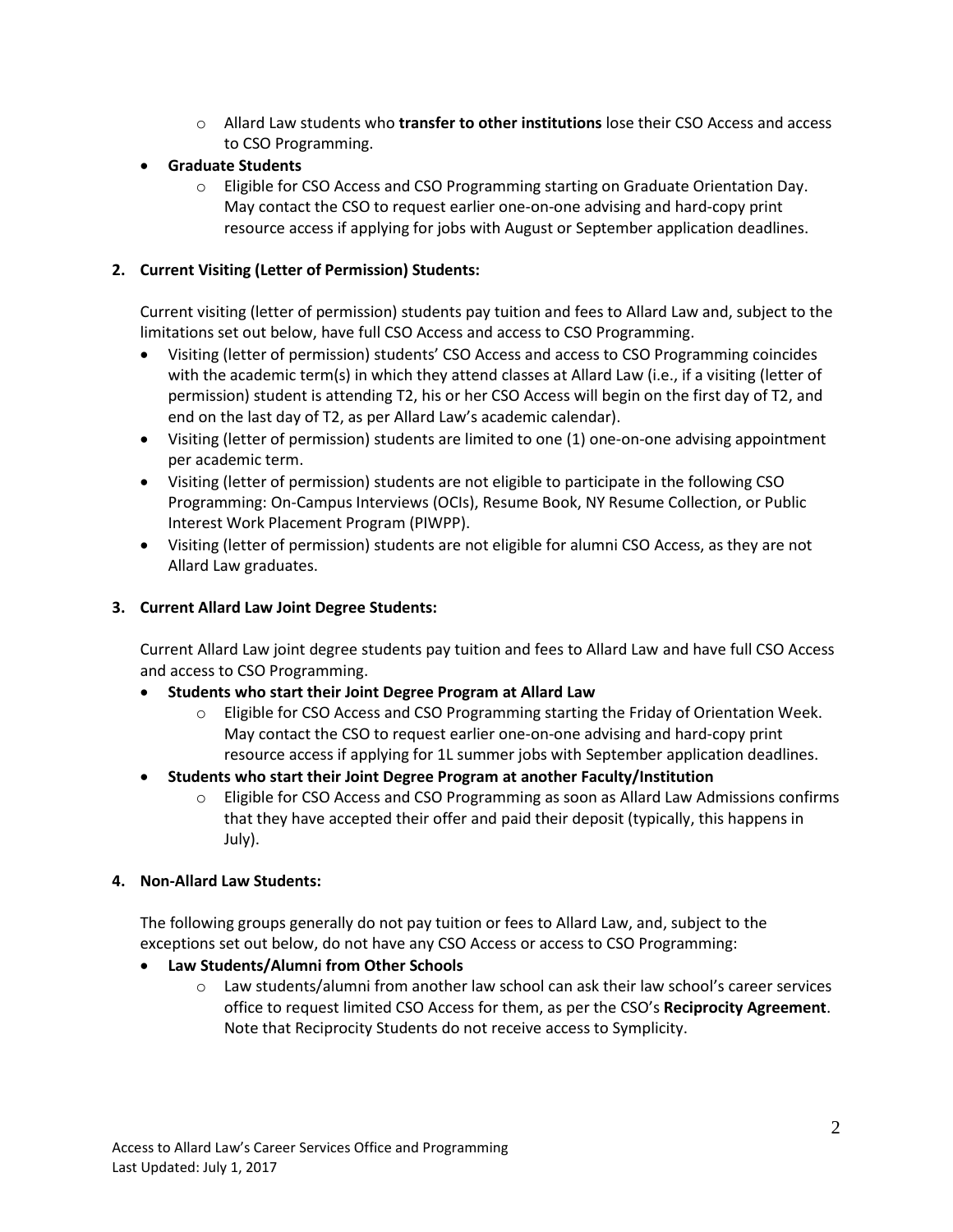- o Allard Law students who **transfer to other institutions** lose their CSO Access and access to CSO Programming.
- **Graduate Students**
	- o Eligible for CSO Access and CSO Programming starting on Graduate Orientation Day. May contact the CSO to request earlier one-on-one advising and hard-copy print resource access if applying for jobs with August or September application deadlines.

# **2. Current Visiting (Letter of Permission) Students:**

Current visiting (letter of permission) students pay tuition and fees to Allard Law and, subject to the limitations set out below, have full CSO Access and access to CSO Programming.

- Visiting (letter of permission) students' CSO Access and access to CSO Programming coincides with the academic term(s) in which they attend classes at Allard Law (i.e., if a visiting (letter of permission) student is attending T2, his or her CSO Access will begin on the first day of T2, and end on the last day of T2, as per Allard Law's academic calendar).
- Visiting (letter of permission) students are limited to one (1) one-on-one advising appointment per academic term.
- Visiting (letter of permission) students are not eligible to participate in the following CSO Programming: On-Campus Interviews (OCIs), Resume Book, NY Resume Collection, or Public Interest Work Placement Program (PIWPP).
- Visiting (letter of permission) students are not eligible for alumni CSO Access, as they are not Allard Law graduates.

# **3. Current Allard Law Joint Degree Students:**

Current Allard Law joint degree students pay tuition and fees to Allard Law and have full CSO Access and access to CSO Programming.

- **Students who start their Joint Degree Program at Allard Law**
	- $\circ$  Eligible for CSO Access and CSO Programming starting the Friday of Orientation Week. May contact the CSO to request earlier one-on-one advising and hard-copy print resource access if applying for 1L summer jobs with September application deadlines.
- **Students who start their Joint Degree Program at another Faculty/Institution**
	- o Eligible for CSO Access and CSO Programming as soon as Allard Law Admissions confirms that they have accepted their offer and paid their deposit (typically, this happens in July).

## **4. Non-Allard Law Students:**

The following groups generally do not pay tuition or fees to Allard Law, and, subject to the exceptions set out below, do not have any CSO Access or access to CSO Programming:

- **Law Students/Alumni from Other Schools**
	- $\circ$  Law students/alumni from another law school can ask their law school's career services office to request limited CSO Access for them, as per the CSO's **Reciprocity Agreement**. Note that Reciprocity Students do not receive access to Symplicity.